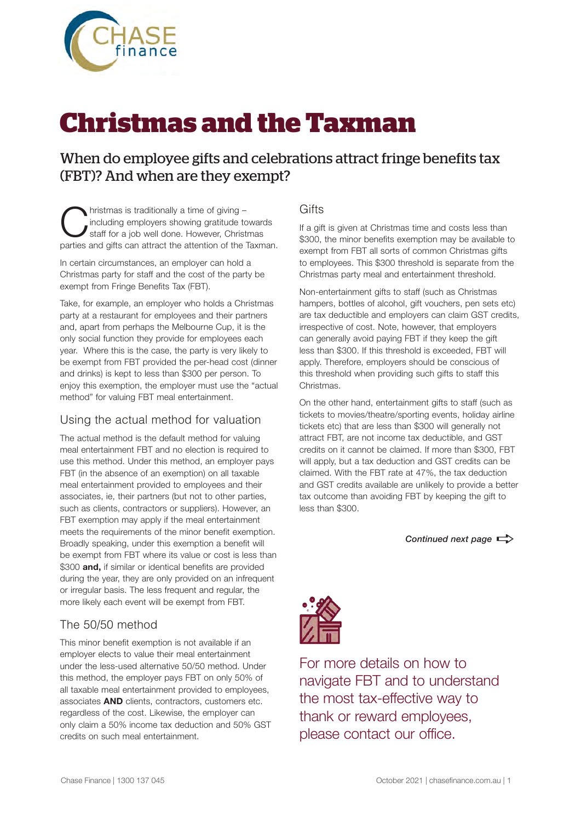

# **Christmas and the Taxman**

### When do employee gifts and celebrations attract fringe benefits tax (FBT)? And when are they exempt?

**C**hristmas is traditionally a time of giving –<br>
staff for a job well done. However, Christmas<br>
partice and gifts can attract the attention of the Town including employers showing gratitude towards parties and gifts can attract the attention of the Taxman.

In certain circumstances, an employer can hold a Christmas party for staff and the cost of the party be exempt from Fringe Benefits Tax (FBT).

Take, for example, an employer who holds a Christmas party at a restaurant for employees and their partners and, apart from perhaps the Melbourne Cup, it is the only social function they provide for employees each year. Where this is the case, the party is very likely to be exempt from FBT provided the per-head cost (dinner and drinks) is kept to less than \$300 per person. To enjoy this exemption, the employer must use the "actual method" for valuing FBT meal entertainment.

#### Using the actual method for valuation

The actual method is the default method for valuing meal entertainment FBT and no election is required to use this method. Under this method, an employer pays FBT (in the absence of an exemption) on all taxable meal entertainment provided to employees and their associates, ie, their partners (but not to other parties, such as clients, contractors or suppliers). However, an FBT exemption may apply if the meal entertainment meets the requirements of the minor benefit exemption. Broadly speaking, under this exemption a benefit will be exempt from FBT where its value or cost is less than \$300 **and,** if similar or identical benefits are provided during the year, they are only provided on an infrequent or irregular basis. The less frequent and regular, the more likely each event will be exempt from FBT.

#### The 50/50 method

This minor benefit exemption is not available if an employer elects to value their meal entertainment under the less-used alternative 50/50 method. Under this method, the employer pays FBT on only 50% of all taxable meal entertainment provided to employees, associates **AND** clients, contractors, customers etc. regardless of the cost. Likewise, the employer can only claim a 50% income tax deduction and 50% GST credits on such meal entertainment.

#### **Gifts**

If a gift is given at Christmas time and costs less than \$300, the minor benefits exemption may be available to exempt from FBT all sorts of common Christmas gifts to employees. This \$300 threshold is separate from the Christmas party meal and entertainment threshold.

Non-entertainment gifts to staff (such as Christmas hampers, bottles of alcohol, gift vouchers, pen sets etc) are tax deductible and employers can claim GST credits, irrespective of cost. Note, however, that employers can generally avoid paying FBT if they keep the gift less than \$300. If this threshold is exceeded, FBT will apply. Therefore, employers should be conscious of this threshold when providing such gifts to staff this Christmas.

On the other hand, entertainment gifts to staff (such as tickets to movies/theatre/sporting events, holiday airline tickets etc) that are less than \$300 will generally not attract FBT, are not income tax deductible, and GST credits on it cannot be claimed. If more than \$300, FBT will apply, but a tax deduction and GST credits can be claimed. With the FBT rate at 47%, the tax deduction and GST credits available are unlikely to provide a better tax outcome than avoiding FBT by keeping the gift to less than \$300.

*Continued next page*  $\Rightarrow$ 



For more details on how to navigate FBT and to understand the most tax-effective way to thank or reward employees, please contact our office.